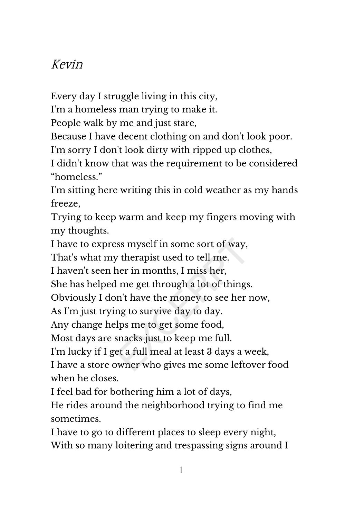## Kevin

Every day I struggle living in this city,

I'm a homeless man trying to make it.

People walk by me and just stare,

Because I have decent clothing on and don't look poor.

I'm sorry I don't look dirty with ripped up clothes,

I didn't know that was the requirement to be considered "homeless."

I'm sitting here writing this in cold weather as my hands freeze,

Trying to keep warm and keep my fingers moving with my thoughts.

I have to express myself in some sort of way,

That's what my therapist used to tell me.

I haven't seen her in months, I miss her,

She has helped me get through a lot of things.

Obviously I don't have the money to see her now,

As I'm just trying to survive day to day.

Any change helps me to get some food,

Most days are snacks just to keep me full.

I'm lucky if I get a full meal at least 3 days a week,

I have a store owner who gives me some leftover food when he closes.

I feel bad for bothering him a lot of days,

He rides around the neighborhood trying to find me sometimes.

I have to go to different places to sleep every night, With so many loitering and trespassing signs around I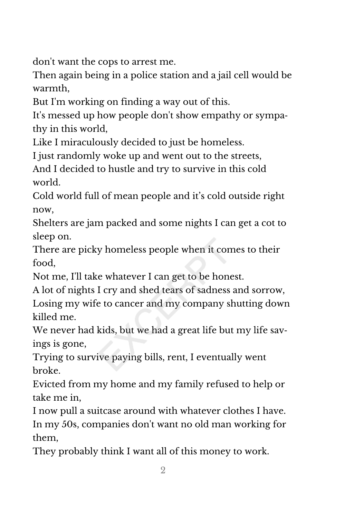don't want the cops to arrest me.

Then again being in a police station and a jail cell would be warmth,

But I'm working on finding a way out of this.

It's messed up how people don't show empathy or sympa‐ thy in this world,

Like I miraculously decided to just be homeless.

I just randomly woke up and went out to the streets,

And I decided to hustle and try to survive in this cold world.

Cold world full of mean people and it's cold outside right now,

Shelters are jam packed and some nights I can get a cot to sleep on.

There are picky homeless people when it comes to their food,

Not me, I'll take whatever I can get to be honest.

A lot of nights I cry and shed tears of sadness and sorrow,

Losing my wife to cancer and my company shutting down killed me.

We never had kids, but we had a great life but my life savings is gone,

Trying to survive paying bills, rent, I eventually went broke.

Evicted from my home and my family refused to help or take me in,

I now pull a suitcase around with whatever clothes I have. In my 50s, companies don't want no old man working for them,

They probably think I want all of this money to work.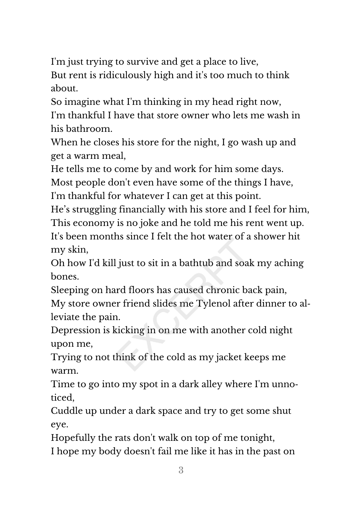I'm just trying to survive and get a place to live,

But rent is ridiculously high and it's too much to think about.

So imagine what I'm thinking in my head right now, I'm thankful I have that store owner who lets me wash in his bathroom.

When he closes his store for the night, I go wash up and get a warm meal,

He tells me to come by and work for him some days. Most people don't even have some of the things I have, I'm thankful for whatever I can get at this point.

He's struggling financially with his store and I feel for him, This economy is no joke and he told me his rent went up. It's been months since I felt the hot water of a shower hit my skin,

Oh how I'd kill just to sit in a bathtub and soak my aching bones.

Sleeping on hard floors has caused chronic back pain, My store owner friend slides me Tylenol after dinner to al‐ leviate the pain.

Depression is kicking in on me with another cold night upon me,

Trying to not think of the cold as my jacket keeps me warm.

Time to go into my spot in a dark alley where I'm unno‐ ticed,

Cuddle up under a dark space and try to get some shut eye.

Hopefully the rats don't walk on top of me tonight, I hope my body doesn't fail me like it has in the past on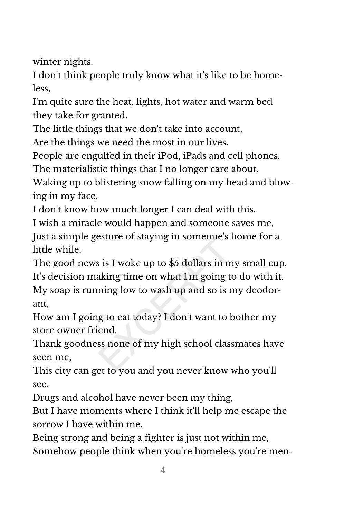winter nights.

I don't think people truly know what it's like to be home‐ less,

I'm quite sure the heat, lights, hot water and warm bed they take for granted.

The little things that we don't take into account,

Are the things we need the most in our lives.

People are engulfed in their iPod, iPads and cell phones,

The materialistic things that I no longer care about.

Waking up to blistering snow falling on my head and blow‐ ing in my face,

I don't know how much longer I can deal with this.

I wish a miracle would happen and someone saves me, Just a simple gesture of staying in someone's home for a little while.

The good news is I woke up to \$5 dollars in my small cup, It's decision making time on what I'm going to do with it. My soap is running low to wash up and so is my deodor‐ ant,

How am I going to eat today? I don't want to bother my store owner friend.

Thank goodness none of my high school classmates have seen me,

This city can get to you and you never know who you'll see.

Drugs and alcohol have never been my thing,

But I have moments where I think it'll help me escape the sorrow I have within me.

Being strong and being a fighter is just not within me, Somehow people think when you're homeless you're men‐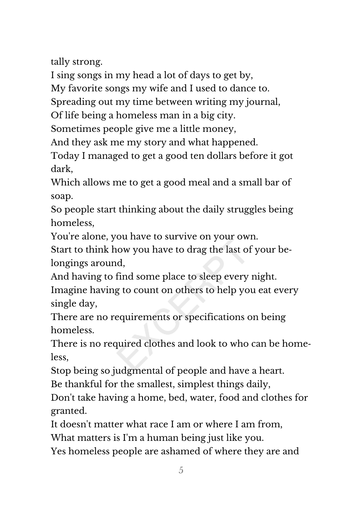tally strong.

I sing songs in my head a lot of days to get by,

My favorite songs my wife and I used to dance to.

Spreading out my time between writing my journal,

Of life being a homeless man in a big city.

Sometimes people give me a little money,

And they ask me my story and what happened.

Today I managed to get a good ten dollars before it got dark,

Which allows me to get a good meal and a small bar of soap.

So people start thinking about the daily struggles being homeless,

You're alone, you have to survive on your own.

Start to think how you have to drag the last of your be‐ longings around,

And having to find some place to sleep every night. Imagine having to count on others to help you eat every single day,

There are no requirements or specifications on being homeless.

There is no required clothes and look to who can be home‐ less,

Stop being so judgmental of people and have a heart.

Be thankful for the smallest, simplest things daily,

Don't take having a home, bed, water, food and clothes for granted.

It doesn't matter what race I am or where I am from,

What matters is I'm a human being just like you.

Yes homeless people are ashamed of where they are and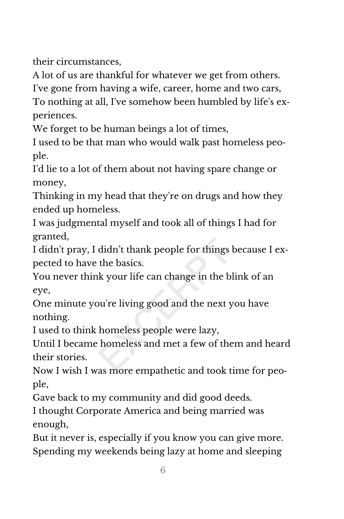their circumstances,

A lot of us are thankful for whatever we get from others.

I've gone from having a wife, career, home and two cars,

To nothing at all, I've somehow been humbled by life's ex‐ periences.

We forget to be human beings a lot of times,

I used to be that man who would walk past homeless peo‐ ple.

I'd lie to a lot of them about not having spare change or money,

Thinking in my head that they're on drugs and how they ended up homeless.

I was judgmental myself and took all of things I had for granted,

I didn't pray, I didn't thank people for things because I ex‐ pected to have the basics.

You never think your life can change in the blink of an eye,

One minute you're living good and the next you have nothing.

I used to think homeless people were lazy,

Until I became homeless and met a few of them and heard their stories.

Now I wish I was more empathetic and took time for peo‐ ple,

Gave back to my community and did good deeds.

I thought Corporate America and being married was enough,

But it never is, especially if you know you can give more. Spending my weekends being lazy at home and sleeping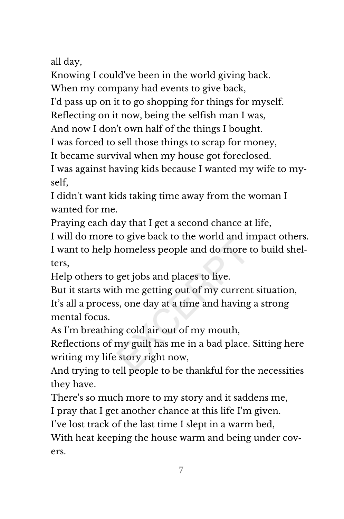all day,

Knowing I could've been in the world giving back.

When my company had events to give back,

I'd pass up on it to go shopping for things for myself.

Reflecting on it now, being the selfish man I was,

And now I don't own half of the things I bought.

I was forced to sell those things to scrap for money,

It became survival when my house got foreclosed.

I was against having kids because I wanted my wife to my‐ self,

I didn't want kids taking time away from the woman I wanted for me.

Praying each day that I get a second chance at life,

I will do more to give back to the world and impact others. I want to help homeless people and do more to build shel‐ ters,

Help others to get jobs and places to live.

But it starts with me getting out of my current situation, It's all a process, one day at a time and having a strong mental focus.

As I'm breathing cold air out of my mouth,

Reflections of my guilt has me in a bad place. Sitting here writing my life story right now,

And trying to tell people to be thankful for the necessities they have.

There's so much more to my story and it saddens me,

I pray that I get another chance at this life I'm given.

I've lost track of the last time I slept in a warm bed,

With heat keeping the house warm and being under covers.